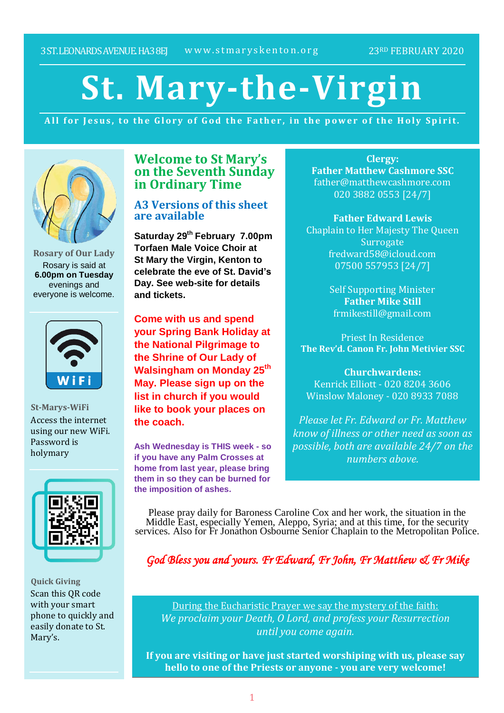# **St. Mary-the-Virgin**

All for Jesus, to the Glory of God the Father, in the power of the Holy Spirit.



**Rosary of Our Lady** Rosary is said at **6.00pm on Tuesday** evenings and everyone is welcome.



**St-Marys-WiFi** Access the internet using our new WiFi. Password is holymary



**Quick Giving** Scan this QR code with your smart phone to quickly and easily donate to St. Mary's.

# **Welcome to St Mary's on the Seventh Sunday in Ordinary Time**

# **A3 Versions of this sheet are available**

**Saturday 29th February 7.00pm Torfaen Male Voice Choir at St Mary the Virgin, Kenton to celebrate the eve of St. David's Day. See web-site for details and tickets.**

**Come with us and spend your Spring Bank Holiday at the National Pilgrimage to the Shrine of Our Lady of Walsingham on Monday 25th May. Please sign up on the list in church if you would like to book your places on the coach.**

**Ash Wednesday is THIS week - so if you have any Palm Crosses at home from last year, please bring them in so they can be burned for the imposition of ashes.**

**Clergy: Father Matthew Cashmore SSC** father@matthewcashmore.com 020 3882 0553 [24/7]

**Father Edward Lewis** Chaplain to Her Majesty The Queen **Surrogate** fredward58@icloud.com 07500 557953 [24/7]

> Self Supporting Minister **Father Mike Still** frmikestill@gmail.com

Priest In Residence **The Rev'd. Canon Fr. John Metivier SSC**

**Churchwardens:** Kenrick Elliott - 020 8204 3606 Winslow Maloney - 020 8933 7088

*Please let Fr. Edward or Fr. Matthew know of illness or other need as soon as possible, both are available 24/7 on the numbers above.*

Please pray daily for Baroness Caroline Cox and her work, the situation in the Middle East, especially Yemen, Aleppo, Syria; and at this time, for the security services. Also for Fr Jonathon Osbourne Senior Chaplain to the Metropolitan Police.

*God Bless you and yours. Fr Edward, Fr John, Fr Matthew & Fr Mike*

During the Eucharistic Prayer we say the mystery of the faith: *We proclaim your Death, O Lord, and profess your Resurrection until you come again.*

**If you are visiting or have just started worshiping with us, please say hello to one of the Priests or anyone - you are very welcome!**